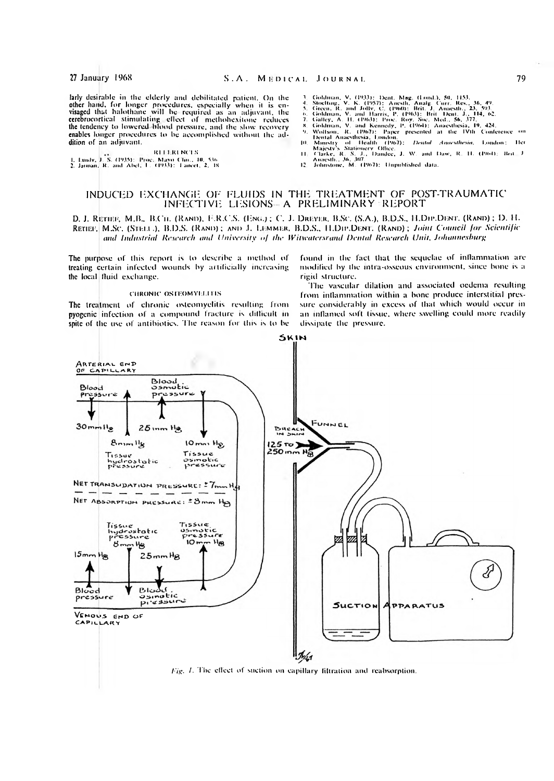larly desirable in the elderly and debilitated patient. On the other hand, for longer procedures, especially when it is environmentally when it is environmentally when it is environmentally cerebrocortical stimulating effect of metholicxitone reduces the tendency to lowered blood pressure, and the slow recovery enables longer procedures to be accomplished without the addition of an adjuvant.

**REFERENCES** 1. Lundy, J. S. (1935): Proc. Mayo Clin., 10, 536<br>2. Jarman, R. and Abel, L. (1933): Tancet, 2, 18

- 
- $\frac{6}{7}$
- 
- 
- Goldman, V. (1933): Dent. Mag. (Lond.), 50, 1153.<br>Stochting, V. K. (1957): Anesth, Analg. Curr. Res., 36, 49.<br>Green, R. and Jolly, C. (1960): Brit. J. Anaesthe, 23, 593.<br>Goldman, V. and Harris, P. (1963): Brit. Dent. J., 1 Goldman, R. (1965)<br>Wollson, R. (1965)<br>Dental Anaesthesia, L.<br>Health (1967) Ψ. ю
- Dental Amesthesia, 1.0mlon,<br>Ministry of Health (1967): *Dental Amesthesia*, London; Her<br>Majesty's Stationery Office.<br>Clarke, R. S. J., Dandee, J. W. and Daw, R. 11. (1964): IFrit\_J.<br>Amesth., M. (1967): Unpublished data.  $111$
- $12<sup>1</sup>$

# INDUCED EXCHANGE OF FLUIDS IN THE TREATMENT OF POST-TRAUMATIC INFECTIVE LESIONS- A PRELIMINARY REPORT

D. J. RETIEF, M.B., B.Cil. (RAND), F.R.C.S. (ENG.); C. J. DREYER, B.SC. (S.A.), B.D.S., H.DIP.DENT. (RAND); D. H. RETIEF, M.Sc. (STELL.), B.D.S. (RAND); AND J. LEMMER, B.D.S., H.DIP.DENT. (RAND); Joint Council for Scientific and Industrial Research and University of the Witwatersrand Dental Research Unit, Johannesburg

The purpose of this report is to describe a method of treating certain infected wounds by artificially increasing the local fluid exchange.

### **CHRONIC OSTEOMYELTTIS**

The treatment of chronic osteomyclitis resulting from pyogenic infection of a compound fracture is difficult in spite of the use of antibiotics. The reason for this is to be found in the fact that the sequelae of inflammation are modified by the intra-osseous environment, since bone is a rigid structure.

The vascular dilation and associated oedema resulting from inflammation within a bone produce interstitial pressure considerably in excess of that which would occur in an inflamed soft tissue, where swelling could more readily dissipate the pressure.



Fig. 1. The effect of suction on capillary filtration and reabsorption.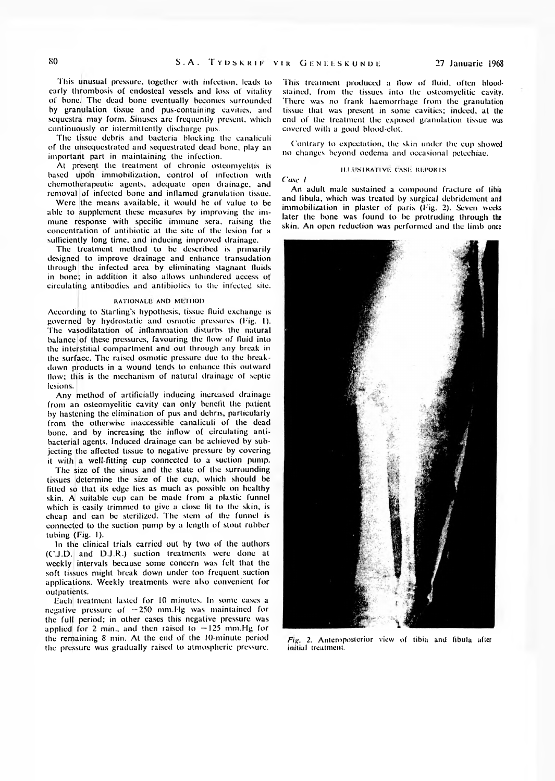This unusual pressure, together with infection, leads to early thrombosis of endosteal vessels and loss of vitality of bone. The dead bone eventually becomes surrounded by granulation tissue and pus-containing cavities, and sequestra may form. Sinuses are frequently present, which continuously or intermittently discharge pus.

The tissue debris and bacteria blocking the canaliculi of the unsequestrated and sequestrated dead bone, play an important part in maintaining the infection.

At present the treatment of chronic osteomyelitis is based upon immobilization, control of infection with chemotherapeutic agents, adequate open drainage, and removal of infected bone and inflamed granulation tissue.

Were the means available, it would be of value to be able to supplement these measures by improving the immune response with specific immune sera, raising the concentration of antibiotic at the site of the lesion for a sufficiently long time, and inducing improved drainage.

The treatment method to be described is primarily designed to improve drainage and enhance transudation through the infected area by eliminating stagnant fluids in bone; in addition it also allows unhindered access of circulating antibodies and antibiotics to the infected site.

#### RATIONALE AND METHOD

According to Starling's hypothesis, tissue fluid exchange is governed by hydrostatic and osmotic pressures (Fig. 1). The vasodilatation of inflammation disturbs the natural balance of these pressures, favouring the flow of fluid into the interstitial compartment and out through any break in the surface. The raised osmotic pressure due to the breakdown products in a wound lends to enhance this outward flow; this is the mechanism of natural drainage of septic lesions.

Any method of artificially inducing increased drainage from an osteomyelitic cavity can only benefit the patient by hastening the elimination of pus and debris, particularly from the otherwise inaccessible canaliculi of the dead bone, and by increasing the inllow of circulating antibacterial agents. Induced drainage can be achieved by subjecting the affected tissue to negative pressure by covering it with a well-fitting cup connected to a suction pump.

The size of the sinus and the state of the surrounding tissues determine the size of the cup, which should be fitted so that its edge lies as much as possible on healthy skin. A suitable cup can be made from a plastic funnel which is easily trimmed to give a close fit to the skin, is cheap and can be sterilized. The stem of the funnel is connected to the suction pump by a length of stout rubber tubing (Fig. I).

In the clinical trials carried out by two of the authors (C.J.D. and D.J.R.) suction treatments were done at weekly intervals because some concern was felt that the soft tissues might break down under too frequent suction applications. Weekly treatments were also convenient for outpatients.

Each treatment lasted for 10 minutes. In some cases a negative pressure of  $-250$  mm. Hg was maintained for the full period; in other cases this negative pressure was applied for 2 min., and then raised to  $-125$  mm.Hg for the remaining 8 min. At the end of the 10-minute period the pressure was gradually raised to atmospheric pressure.

This treatment produced a flow of fluid, often bloodstained. from the tissues into the osteomyelitic cavity. There was no frank haemorrhage from the granulation tissue that was present in some cavities; indeed, at the end of the treatment the exposed granulation tissue was covered with a good blood-clot.

Contrary to expectation, the skin under the cup showed no changes beyond oedema and occasional pclcchiac.

### ILLUSTRATIVE CASE REPORTS

Case 1

An adult male sustained a compound fracture of tibia and fibula, which was treated by surgical debridement and immobilization in plaster of paris (Fig. 2). Seven weeks later the bone was found to be protruding through the skin. An open reduction was performed and the limb once



Fig. 2. Anteroposterior view of tibia and fibula after initial treatment.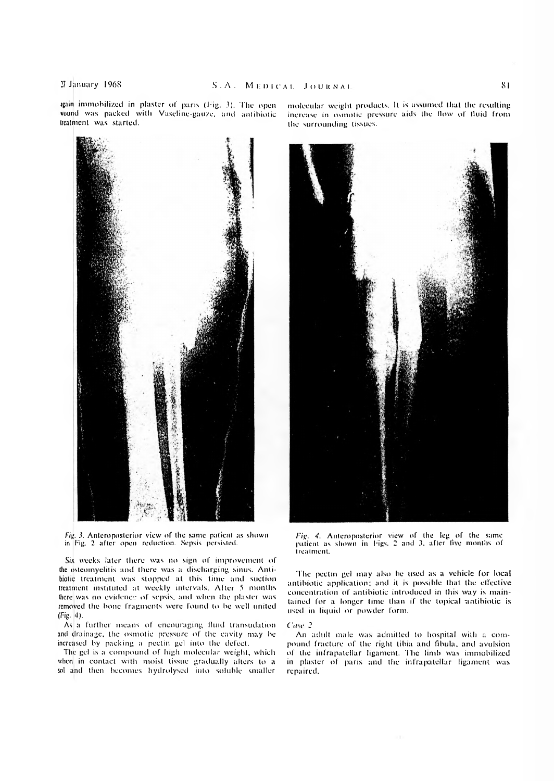igain immobilized in plaster of paris (big. 3). The open wound was packed with Vaseline-gauze, and antibiotic treatment was started.

*Fig.* J. Anteroposterior view of the same patient as shown in Fig. 2 after open reduction. Sepsis persisted.

Six weeks later there was no sign of improvement of the osteomyelitis and there was a discharging sinus. Antibiotic treatment was stopped at this time and suction treatment instituted at weekly intervals. After 5 months there was no evidence of sepsis, and when the plaster was removed the bone fragments were found to be well united (Fig. 4).

As a further means of encouraging fluid transudation and drainage, the osmotic pressure of the cavity may be increased by packing a pectin gel into the defect.

The gel is a compound of high molecular weight, which when in contact with moist tissue gradually alters to a sol and then becomes hydrolysed into soluble smaller

molecular weight products. It is assumed that the resulting increase in osmotic pressure aids the Mow of fluid from the surrounding tissues.

treatment. The pectin gel may also be used as a vehicle for local

*Fig. 4.* Anteroposterior view of the leg of the same patient as shown in bigs. 2 and 3, after five months of

antibiotic application; and it is possible that the effective concentration of antibiotic introduced in this way is maintained for a longer time than if the topical antibiotic is used in liquid or powder form.

One *2*

An adult male was admitted to hospital with a compound fracture of the right tibia and fibula, and avulsion of the infrapatellar ligament. The limb was immobilized in plaster of paris and the infrapatellar ligament was repaired.

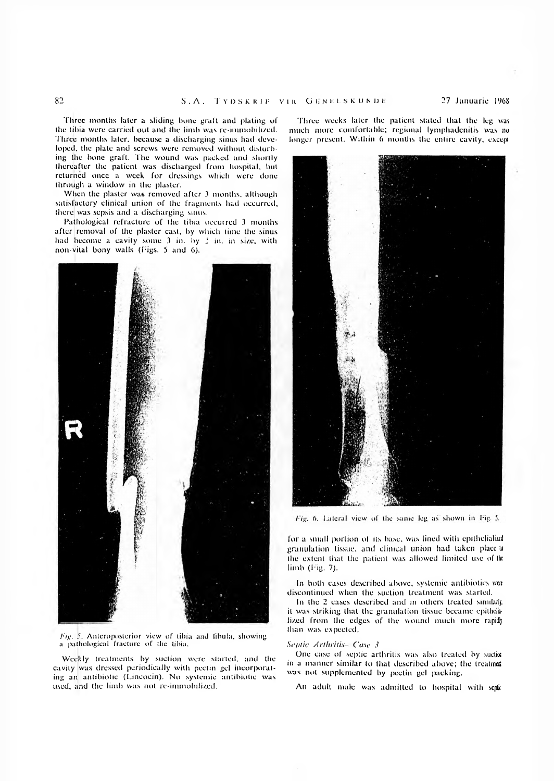Three months later a sliding bone graft and plating of the tibia were carried out and the limb was re-immobilized. Three months later, because a discharging sinus had developed. the plate and screws were removed without disturbing the bone graft. The wound was packed and shortly thereafter the patient was discharged from hospital, but returned once a week for dressings which were done through a window in the plaster.

When the plaster was removed after 3 months, although satisfactory clinical union of the fragments had occurred, there was sepsis and a discharging sinus.

Pathological rcfraclurc of the tibia occurred 3 months after removal of the plaster cast, by which time the sinus had become a cavity some  $3$  in. by  $\frac{1}{4}$  in. in size, with non-vital bony walls (Figs. 5 and 6).



*Fig.* 5. Anteroposterior view of tibia and fibula, showing a pathological fracture of Ihc tibia.

Weekly treatments by suction were started, and the cavity was dressed periodically with pectin gel incorporating an antibiotic (Lincocin). No systemic antibiotic was used, and the limb was not re-immobilized.

Three weeks later the patient stated that the leg was much more comfortable; regional lymphadenitis was no longer present. Within 6 months the entire cavity, except



Fig. 6. Lateral view of the same leg as shown in Fig. 5.

for a small portion of its base, was lined with epithelialize granulation tissue, and clinical union had taken place lo the extent that the patient was allowed limited use of the limb (Fig. *1).*

In both cases described above, systemic antibiotics wen discontinued when the suction treatment was started.

In the 2 cases described and in others treated similarly, it was striking that the granulation tissue became epithelilized from the edges of the wound much more rapidly than was expected.

### *Septic Arthritis Case 3*

One case of septic arthritis was also treated by suction in a manner similar to that described above; the treatment was not supplemented by pectin gel packing.

An adult male was admitted to hospital with septi